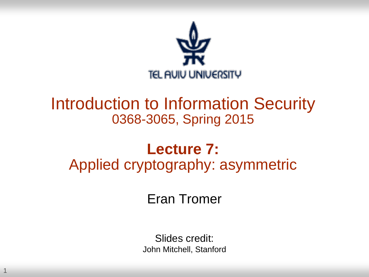

#### Introduction to Information Security 0368-3065, Spring 2015

#### **Lecture 7:** Applied cryptography: asymmetric

Eran Tromer

Slides credit: John Mitchell, Stanford

1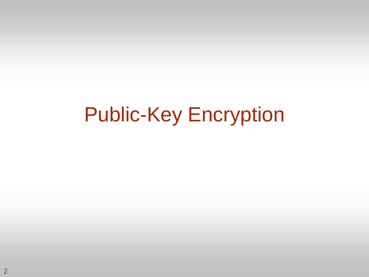### Public-Key Encryption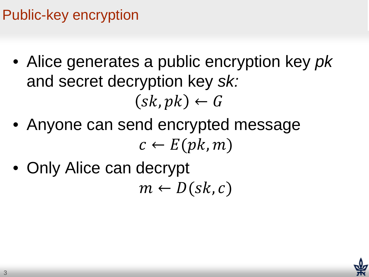#### Public-key encryption

- Alice generates a public encryption key *pk* and secret decryption key *sk:*  $(sk, pk) \leftarrow G$
- Anyone can send encrypted message  $c \leftarrow E(pk, m)$
- Only Alice can decrypt  $m \leftarrow D(\text{sk}, c)$

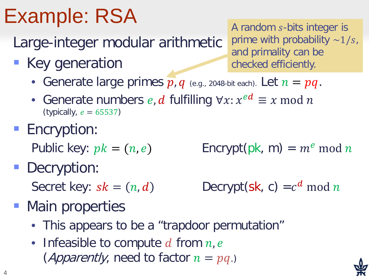# Example: RSA

Large-integer modular arithmetic

**Key generation** 

A random  $s$ -bits integer is prime with probability  $\sim 1/s$ , and primality can be checked efficiently.

- Generate large primes  $\overline{p}$ ,  $q$  (e.g., 2048-bit each). Let  $n = pq$ .
- Generate numbers e, d fulfilling  $\forall x: x^{ed} \equiv x \mod n$ (typically,  $e = 65537$ )
- **Encryption:**

Public key:  $pk = (n, e)$  Encrypt(pk, m) =  $m^e$  mod n

Decryption:

Secret key:  $sk = (n, d)$  Decrypt(sk, c) =  $c^d$  mod n

- Main properties
	- This appears to be a "trapdoor permutation"
	- Infeasible to compute  $d$  from  $n, e$ (*Apparently*, need to factor  $n = pq$ .)

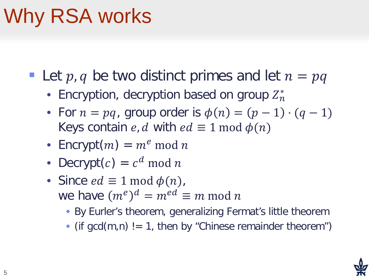## Why RSA works

Let p, q be two distinct primes and let  $n = pq$ 

- Encryption, decryption based on group  $Z_n^*$
- For  $n = pq$ , group order is  $\phi(n) = (p-1) \cdot (q-1)$ Keys contain *e*, *d* with  $ed \equiv 1 \text{ mod } \phi(n)$
- Encrypt $(m) = m^e \mod n$
- Decrypt $(c) = c^d \mod n$
- Since  $ed \equiv 1 \mod \phi(n)$ , we have  $(m^e)^d = m^{ed} \equiv m \bmod n$ 
	- By Eurler's theorem, generalizing Fermat's little theorem
	- $\bullet$  (if gcd(m,n) != 1, then by "Chinese remainder theorem")

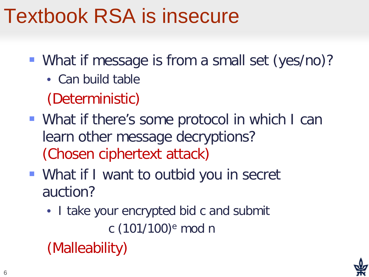### Textbook RSA is insecure

- What if message is from a small set (yes/no)?
	- Can build table
	- (Deterministic)
- What if there's some protocol in which I can learn other message decryptions? (Chosen ciphertext attack)
- What if I want to outbid you in secret auction?
	- I take your encrypted bid c and submit c (101/100)e mod n
	- (Malleability)

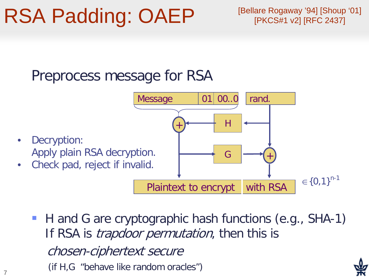#### RSA Padding: OAEP

7

[Bellare Rogaway '94] [Shoup '01] [PKCS#1 v2] [RFC 2437]

#### Preprocess message for RSA



■ H and G are cryptographic hash functions (e.g., SHA-1) If RSA is *trapdoor permutation*, then this is chosen-ciphertext secure (if H,G "behave like random oracles")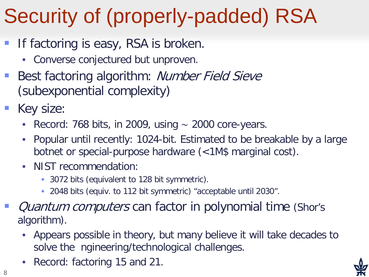# Security of (properly-padded) RSA

- If factoring is easy, RSA is broken.
	- Converse conjectured but unproven.
- Best factoring algorithm: Number Field Sieve (subexponential complexity)
- Key size:
	- Record: 768 bits, in 2009, using ∼ 2000 core-years.
	- Popular until recently: 1024-bit. Estimated to be breakable by a large botnet or special-purpose hardware (<1M\$ marginal cost).
	- NIST recommendation:
		- ◆ 3072 bits (equivalent to 128 bit symmetric).
		- 2048 bits (equiv. to 112 bit symmetric) "acceptable until 2030".
- Quantum computers can factor in polynomial time (Shor's algorithm).
	- Appears possible in theory, but many believe it will take decades to solve the ngineering/technological challenges.
	- Record: factoring 15 and 21.

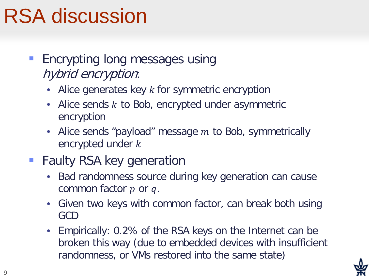### RSA discussion

- Encrypting long messages using hybrid encryption:
	- Alice generates key  $k$  for symmetric encryption
	- Alice sends  $k$  to Bob, encrypted under asymmetric encryption
	- Alice sends "payload" message  $m$  to Bob, symmetrically encrypted under k
- Faulty RSA key generation
	- Bad randomness source during key generation can cause common factor  $p$  or  $q$ .
	- Given two keys with common factor, can break both using GCD
	- Empirically: 0.2% of the RSA keys on the Internet can be broken this way (due to embedded devices with insufficient randomness, or VMs restored into the same state)

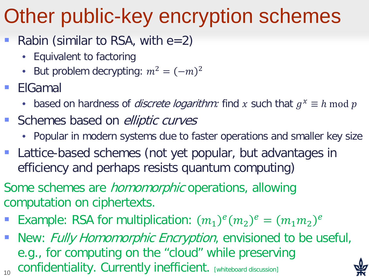### Other public-key encryption schemes

- Rabin (similar to RSA, with  $e=2$ )
	- Equivalent to factoring
	- But problem decrypting:  $m^2 = (-m)^2$
- ElGamal
	- based on hardness of *discrete logarithm:* find x such that  $g^x \equiv h \mod p$
- Schemes based on *elliptic curves* 
	- Popular in modern systems due to faster operations and smaller key size
- **Lattice-based schemes (not yet popular, but advantages in** efficiency and perhaps resists quantum computing)
- Some schemes are *homomorphic* operations, allowing computation on ciphertexts.
- Example: RSA for multiplication:  $(m_1)^e(m_2)^e = (m_1 m_2)^e$
- 10 New: Fully Homomorphic Encryption, envisioned to be useful, e.g., for computing on the "cloud" while preserving confidentiality. Currently inefficient. [whiteboard discussion]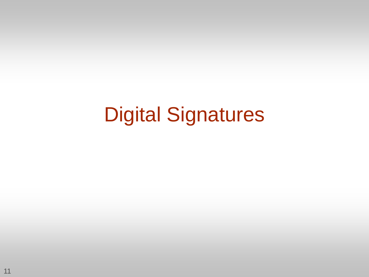### Digital Signatures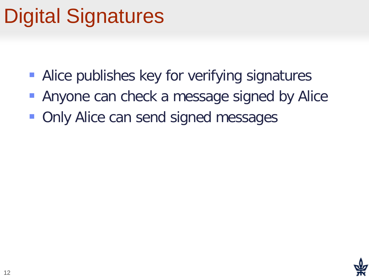## Digital Signatures

- **Alice publishes key for verifying signatures**
- Anyone can check a message signed by Alice
- Only Alice can send signed messages

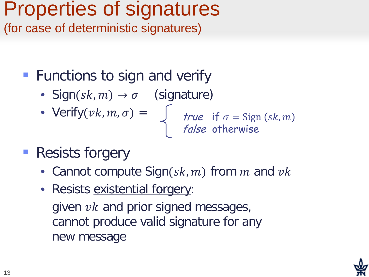## Properties of signatures

(for case of deterministic signatures)

- **Functions to sign and verify** 
	- Sign( $sk, m$ )  $\rightarrow \sigma$  (signature)
	-

• Verify $(vk, m, \sigma) = \int r \nu e$  if  $\sigma =$  Sign (sk, m false otherwise

- **Resists forgery** 
	- Cannot compute  $Sign(sk, m)$  from m and  $vk$
	- Resists existential forgery: given  $vk$  and prior signed messages, cannot produce valid signature for any new message

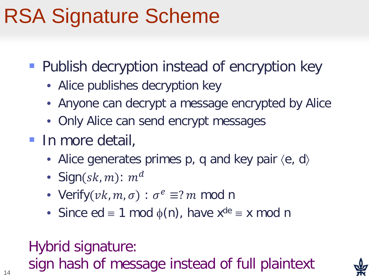## RSA Signature Scheme

- **Publish decryption instead of encryption key** 
	- Alice publishes decryption key
	- Anyone can decrypt a message encrypted by Alice
	- Only Alice can send encrypt messages
- **In more detail,** 
	- Alice generates primes  $p$ , q and key pair  $\langle e, d \rangle$
	- Sign(sk, m):  $m<sup>d</sup>$
	- Verify $(vk, m, \sigma) : \sigma^e \equiv ?m \mod n$
	- Since ed  $\equiv$  1 mod  $\phi(n)$ , have  $x^{de} \equiv x \mod n$

Hybrid signature: sign hash of message instead of full plaintext

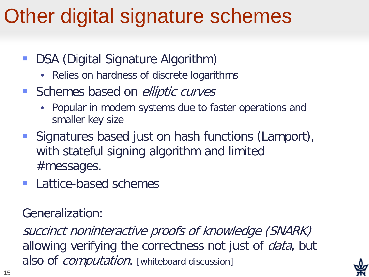## Other digital signature schemes

- DSA (Digital Signature Algorithm)
	- Relies on hardness of discrete logarithms
- Schemes based on *elliptic curves* 
	- Popular in modern systems due to faster operations and smaller key size
- **Signatures based just on hash functions (Lamport),** with stateful signing algorithm and limited #messages.
- **Lattice-based schemes**

Generalization:

succinct noninteractive proofs of knowledge (SNARK) allowing verifying the correctness not just of *data*, but also of *computation*. [whiteboard discussion]

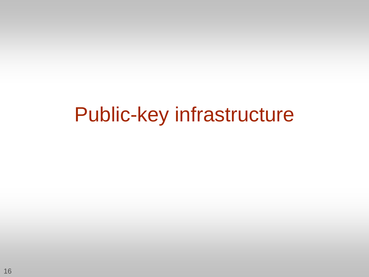#### Public-key infrastructure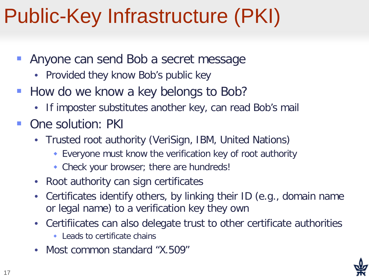## Public-Key Infrastructure (PKI)

- Anyone can send Bob a secret message
	- Provided they know Bob's public key
- How do we know a key belongs to Bob?
	- If imposter substitutes another key, can read Bob's mail
- One solution: PKI
	- Trusted root authority (VeriSign, IBM, United Nations)
		- Everyone must know the verification key of root authority
		- Check your browser; there are hundreds!
	- Root authority can sign certificates
	- Certificates identify others, by linking their ID (e.g., domain name or legal name) to a verification key they own
	- Certifiicates can also delegate trust to other certificate authorities
		- Leads to certificate chains
	- Most common standard "X.509"

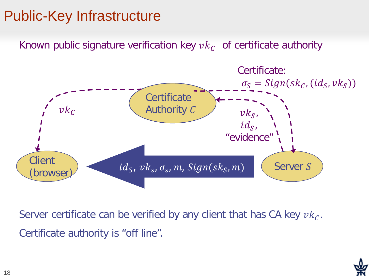#### Public-Key Infrastructure

Known public signature verification key  $vk<sub>C</sub>$  of certificate authority



Server certificate can be verified by any client that has CA key  $vk<sub>C</sub>$ . Certificate authority is "off line".

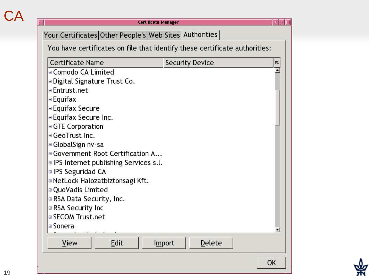#### **CA**

|                                                |  | You have certificates on file that identify these certificate authorities: |  |
|------------------------------------------------|--|----------------------------------------------------------------------------|--|
| <b>Certificate Name</b>                        |  | <b>Security Device</b>                                                     |  |
| ⊞ Comodo CA Limited                            |  |                                                                            |  |
| ⊕Digital Signature Trust Co.                   |  |                                                                            |  |
| ⊞ Entrust.net                                  |  |                                                                            |  |
| Equifax                                        |  |                                                                            |  |
| ⊞Equifax Secure                                |  |                                                                            |  |
| ⊕Equifax Secure Inc.                           |  |                                                                            |  |
| ⊕ GTE Corporation                              |  |                                                                            |  |
| <b>E</b> GeoTrust Inc.                         |  |                                                                            |  |
| GlobalSign nv-sa                               |  |                                                                            |  |
| ⊕ Government Root Certification A              |  |                                                                            |  |
| <b>E</b> IPS Internet publishing Services s.l. |  |                                                                            |  |
| ⊞ IPS Seguridad CA                             |  |                                                                            |  |
| ⊞NetLock Halozatbiztonsagi Kft.                |  |                                                                            |  |
| ⊕ QuoVadis Limited                             |  |                                                                            |  |
| ⊞ RSA Data Security, Inc.                      |  |                                                                            |  |
| ⊞ RSA Security Inc                             |  |                                                                            |  |
| <b>B</b> SECOM Trust.net                       |  |                                                                            |  |
| ⊞ Sonera                                       |  |                                                                            |  |
|                                                |  |                                                                            |  |